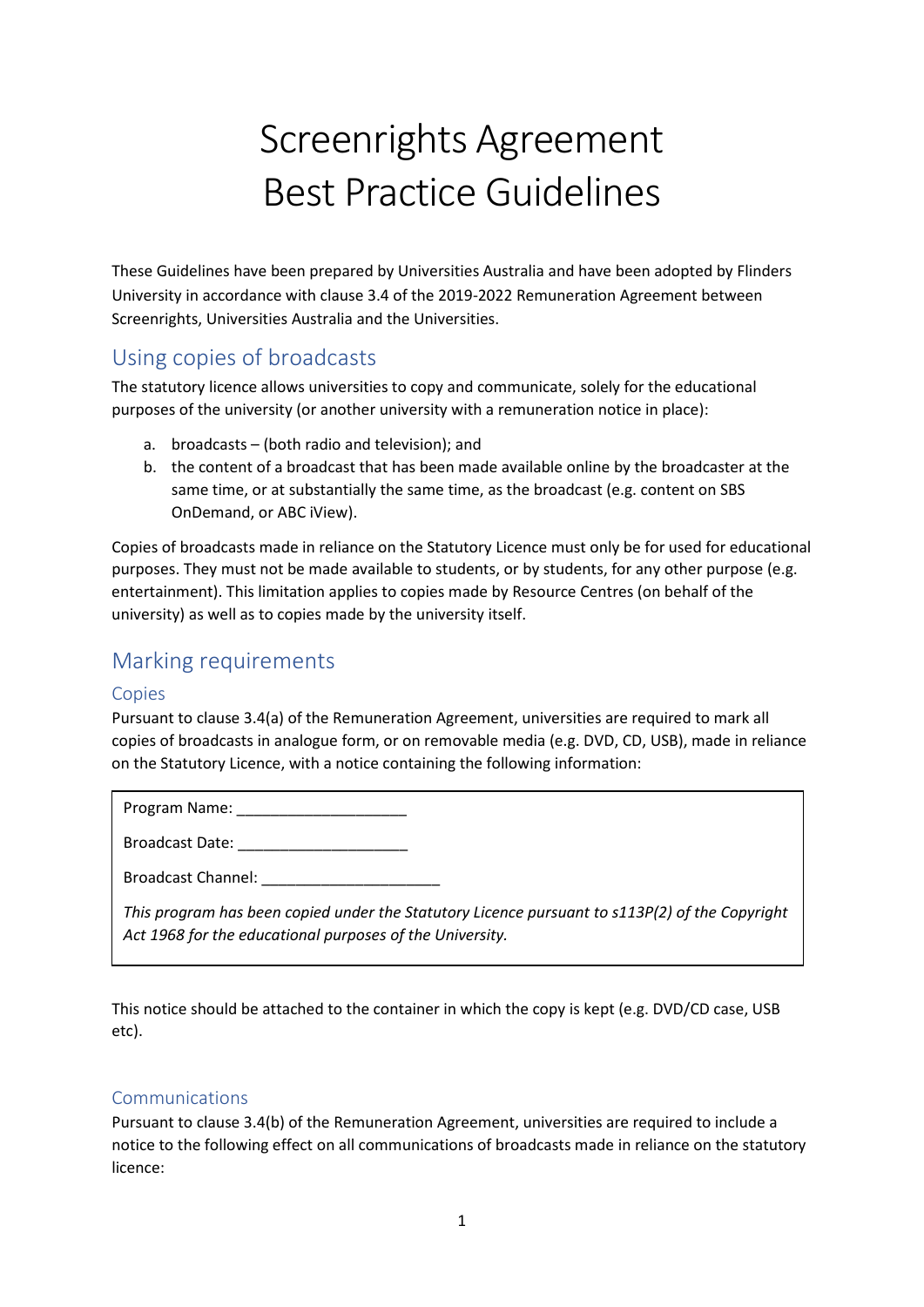# Screenrights Agreement Best Practice Guidelines

These Guidelines have been prepared by Universities Australia and have been adopted by Flinders University in accordance with clause 3.4 of the 2019-2022 Remuneration Agreement between Screenrights, Universities Australia and the Universities.

### Using copies of broadcasts

The statutory licence allows universities to copy and communicate, solely for the educational purposes of the university (or another university with a remuneration notice in place):

- a. broadcasts (both radio and television); and
- b. the content of a broadcast that has been made available online by the broadcaster at the same time, or at substantially the same time, as the broadcast (e.g. content on SBS OnDemand, or ABC iView).

Copies of broadcasts made in reliance on the Statutory Licence must only be for used for educational purposes. They must not be made available to students, or by students, for any other purpose (e.g. entertainment). This limitation applies to copies made by Resource Centres (on behalf of the university) as well as to copies made by the university itself.

## Marking requirements

#### Copies

Pursuant to clause 3.4(a) of the Remuneration Agreement, universities are required to mark all copies of broadcasts in analogue form, or on removable media (e.g. DVD, CD, USB), made in reliance on the Statutory Licence, with a notice containing the following information:

Program Name:

Broadcast Date:  $\Box$ 

Broadcast Channel: \_\_\_\_\_\_\_\_\_\_\_\_\_\_\_\_\_\_\_\_\_

*This program has been copied under the Statutory Licence pursuant to s113P(2) of the Copyright Act 1968 for the educational purposes of the University.*

This notice should be attached to the container in which the copy is kept (e.g. DVD/CD case, USB etc).

#### Communications

Pursuant to clause 3.4(b) of the Remuneration Agreement, universities are required to include a notice to the following effect on all communications of broadcasts made in reliance on the statutory licence: